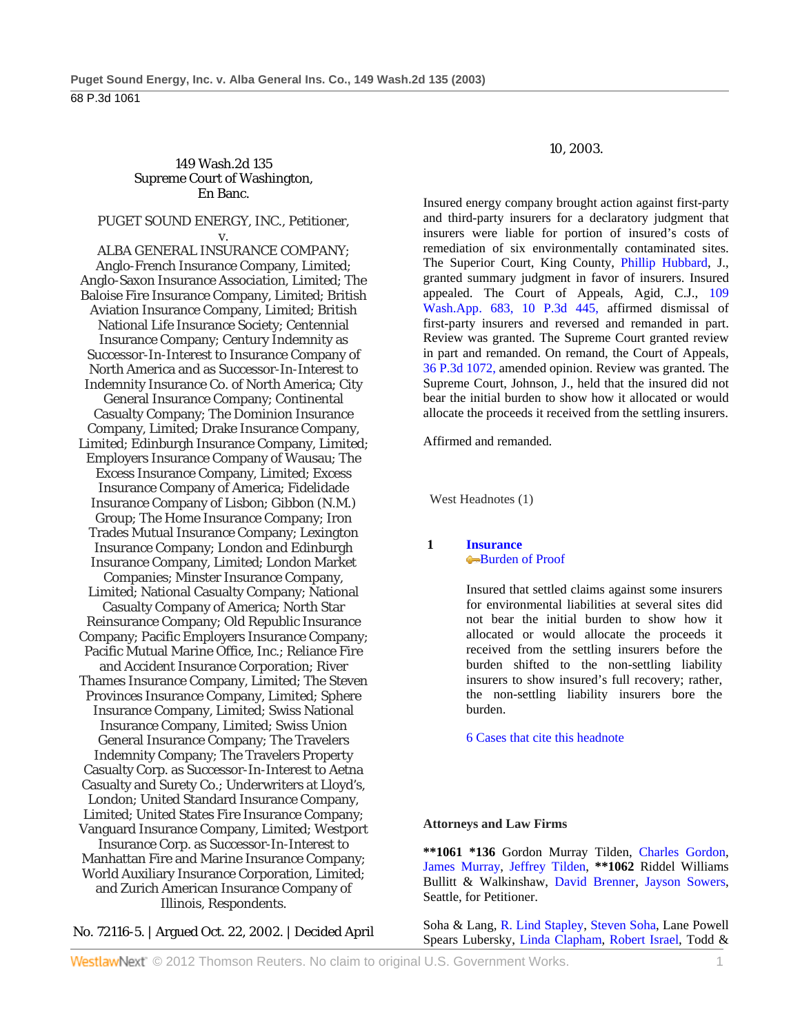# 149 Wash.2d 135 Supreme Court of Washington, En Banc.

# PUGET SOUND ENERGY, INC., Petitioner,

v. ALBA GENERAL INSURANCE COMPANY; Anglo-French Insurance Company, Limited; Anglo-Saxon Insurance Association, Limited; The Baloise Fire Insurance Company, Limited; British Aviation Insurance Company, Limited; British National Life Insurance Society; Centennial Insurance Company; Century Indemnity as Successor-In-Interest to Insurance Company of North America and as Successor-In-Interest to Indemnity Insurance Co. of North America; City General Insurance Company; Continental Casualty Company; The Dominion Insurance Company, Limited; Drake Insurance Company, Limited; Edinburgh Insurance Company, Limited; Employers Insurance Company of Wausau; The Excess Insurance Company, Limited; Excess Insurance Company of America; Fidelidade Insurance Company of Lisbon; Gibbon (N.M.) Group; The Home Insurance Company; Iron Trades Mutual Insurance Company; Lexington Insurance Company; London and Edinburgh Insurance Company, Limited; London Market Companies; Minster Insurance Company, Limited; National Casualty Company; National Casualty Company of America; North Star Reinsurance Company; Old Republic Insurance Company; Pacific Employers Insurance Company; Pacific Mutual Marine Office, Inc.; Reliance Fire and Accident Insurance Corporation; River Thames Insurance Company, Limited; The Steven Provinces Insurance Company, Limited; Sphere Insurance Company, Limited; Swiss National Insurance Company, Limited; Swiss Union General Insurance Company; The Travelers Indemnity Company; The Travelers Property Casualty Corp. as Successor-In-Interest to Aetna Casualty and Surety Co.; Underwriters at Lloyd's, London; United Standard Insurance Company, Limited; United States Fire Insurance Company; Vanguard Insurance Company, Limited; Westport Insurance Corp. as Successor-In-Interest to Manhattan Fire and Marine Insurance Company; World Auxiliary Insurance Corporation, Limited; and Zurich American Insurance Company of Illinois, Respondents.

No. 72116-5. | Argued Oct. 22, 2002. | Decided April

### 10, 2003.

Insured energy company brought action against first-party and third-party insurers for a declaratory judgment that insurers were liable for portion of insured's costs of remediation of six environmentally contaminated sites. The Superior Court, King County, Phillip Hubbard, J., granted summary judgment in favor of insurers. Insured appealed. The Court of Appeals, Agid, C.J., 109 Wash.App. 683, 10 P.3d 445, affirmed dismissal of first-party insurers and reversed and remanded in part. Review was granted. The Supreme Court granted review in part and remanded. On remand, the Court of Appeals, 36 P.3d 1072, amended opinion. Review was granted. The Supreme Court, Johnson, J., held that the insured did not bear the initial burden to show how it allocated or would allocate the proceeds it received from the settling insurers.

Affirmed and remanded.

West Headnotes (1)

# **1 Insurance** Burden of Proof

 Insured that settled claims against some insurers for environmental liabilities at several sites did not bear the initial burden to show how it allocated or would allocate the proceeds it received from the settling insurers before the burden shifted to the non-settling liability insurers to show insured's full recovery; rather, the non-settling liability insurers bore the burden.

6 Cases that cite this headnote

#### **Attorneys and Law Firms**

**\*\*1061 \*136** Gordon Murray Tilden, Charles Gordon, James Murray, Jeffrey Tilden, **\*\*1062** Riddel Williams Bullitt & Walkinshaw, David Brenner, Jayson Sowers, Seattle, for Petitioner.

Soha & Lang, R. Lind Stapley, Steven Soha, Lane Powell Spears Lubersky, Linda Clapham, Robert Israel, Todd &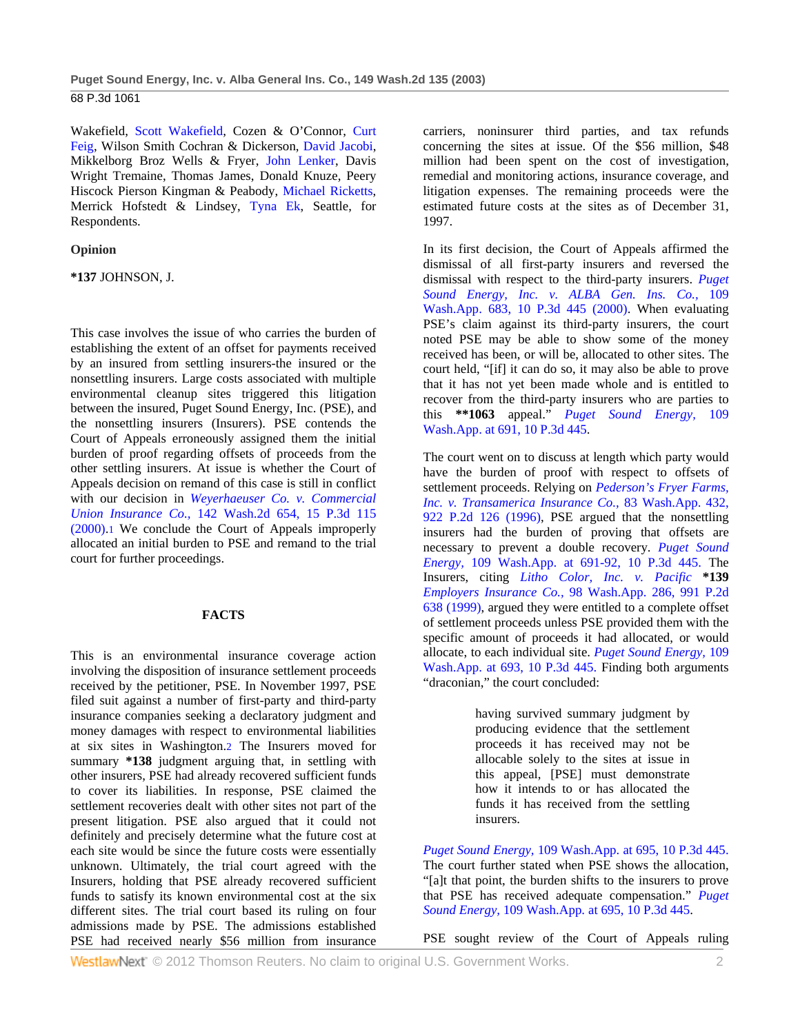Wakefield, Scott Wakefield, Cozen & O'Connor, Curt Feig, Wilson Smith Cochran & Dickerson, David Jacobi, Mikkelborg Broz Wells & Fryer, John Lenker, Davis Wright Tremaine, Thomas James, Donald Knuze, Peery Hiscock Pierson Kingman & Peabody, Michael Ricketts, Merrick Hofstedt & Lindsey, Tyna Ek, Seattle, for Respondents.

#### **Opinion**

**\*137** JOHNSON, J.

This case involves the issue of who carries the burden of establishing the extent of an offset for payments received by an insured from settling insurers-the insured or the nonsettling insurers. Large costs associated with multiple environmental cleanup sites triggered this litigation between the insured, Puget Sound Energy, Inc. (PSE), and the nonsettling insurers (Insurers). PSE contends the Court of Appeals erroneously assigned them the initial burden of proof regarding offsets of proceeds from the other settling insurers. At issue is whether the Court of Appeals decision on remand of this case is still in conflict with our decision in *Weyerhaeuser Co. v. Commercial Union Insurance Co.,* 142 Wash.2d 654, 15 P.3d 115 (2000).1 We conclude the Court of Appeals improperly allocated an initial burden to PSE and remand to the trial court for further proceedings.

# **FACTS**

This is an environmental insurance coverage action involving the disposition of insurance settlement proceeds received by the petitioner, PSE. In November 1997, PSE filed suit against a number of first-party and third-party insurance companies seeking a declaratory judgment and money damages with respect to environmental liabilities at six sites in Washington.2 The Insurers moved for summary **\*138** judgment arguing that, in settling with other insurers, PSE had already recovered sufficient funds to cover its liabilities. In response, PSE claimed the settlement recoveries dealt with other sites not part of the present litigation. PSE also argued that it could not definitely and precisely determine what the future cost at each site would be since the future costs were essentially unknown. Ultimately, the trial court agreed with the Insurers, holding that PSE already recovered sufficient funds to satisfy its known environmental cost at the six different sites. The trial court based its ruling on four admissions made by PSE. The admissions established PSE had received nearly \$56 million from insurance

carriers, noninsurer third parties, and tax refunds concerning the sites at issue. Of the \$56 million, \$48 million had been spent on the cost of investigation, remedial and monitoring actions, insurance coverage, and litigation expenses. The remaining proceeds were the estimated future costs at the sites as of December 31, 1997.

In its first decision, the Court of Appeals affirmed the dismissal of all first-party insurers and reversed the dismissal with respect to the third-party insurers. *Puget Sound Energy, Inc. v. ALBA Gen. Ins. Co.,* 109 Wash.App. 683, 10 P.3d 445 (2000). When evaluating PSE's claim against its third-party insurers, the court noted PSE may be able to show some of the money received has been, or will be, allocated to other sites. The court held, "[if] it can do so, it may also be able to prove that it has not yet been made whole and is entitled to recover from the third-party insurers who are parties to this **\*\*1063** appeal." *Puget Sound Energy,* 109 Wash.App. at 691, 10 P.3d 445.

The court went on to discuss at length which party would have the burden of proof with respect to offsets of settlement proceeds. Relying on *Pederson's Fryer Farms, Inc. v. Transamerica Insurance Co.,* 83 Wash.App. 432, 922 P.2d 126 (1996), PSE argued that the nonsettling insurers had the burden of proving that offsets are necessary to prevent a double recovery. *Puget Sound Energy,* 109 Wash.App. at 691-92, 10 P.3d 445. The Insurers, citing *Litho Color, Inc. v. Pacific* **\*139** *Employers Insurance Co.,* 98 Wash.App. 286, 991 P.2d 638 (1999), argued they were entitled to a complete offset of settlement proceeds unless PSE provided them with the specific amount of proceeds it had allocated, or would allocate, to each individual site. *Puget Sound Energy,* 109 Wash.App. at 693, 10 P.3d 445. Finding both arguments "draconian," the court concluded:

> having survived summary judgment by producing evidence that the settlement proceeds it has received may not be allocable solely to the sites at issue in this appeal, [PSE] must demonstrate how it intends to or has allocated the funds it has received from the settling insurers.

*Puget Sound Energy,* 109 Wash.App. at 695, 10 P.3d 445. The court further stated when PSE shows the allocation, "[a]t that point, the burden shifts to the insurers to prove that PSE has received adequate compensation." *Puget Sound Energy,* 109 Wash.App. at 695, 10 P.3d 445.

PSE sought review of the Court of Appeals ruling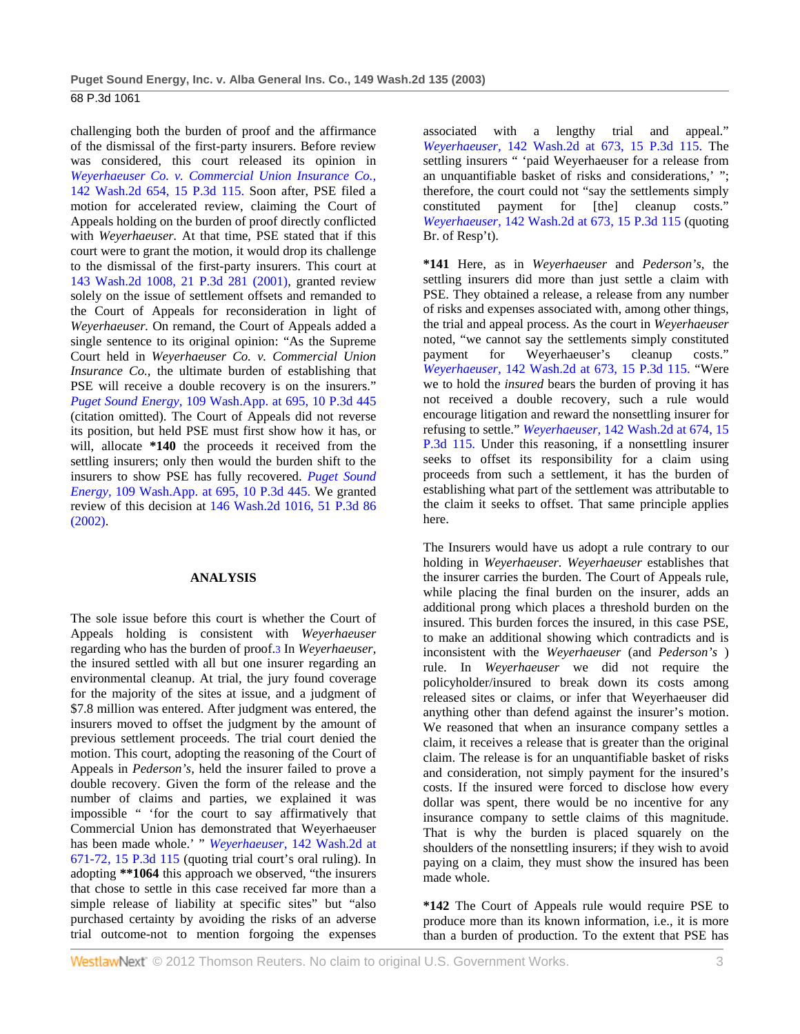challenging both the burden of proof and the affirmance of the dismissal of the first-party insurers. Before review was considered, this court released its opinion in *Weyerhaeuser Co. v. Commercial Union Insurance Co.,* 142 Wash.2d 654, 15 P.3d 115. Soon after, PSE filed a motion for accelerated review, claiming the Court of Appeals holding on the burden of proof directly conflicted with *Weyerhaeuser.* At that time, PSE stated that if this court were to grant the motion, it would drop its challenge to the dismissal of the first-party insurers. This court at 143 Wash.2d 1008, 21 P.3d 281 (2001), granted review solely on the issue of settlement offsets and remanded to the Court of Appeals for reconsideration in light of *Weyerhaeuser.* On remand, the Court of Appeals added a single sentence to its original opinion: "As the Supreme Court held in *Weyerhaeuser Co. v. Commercial Union Insurance Co.,* the ultimate burden of establishing that PSE will receive a double recovery is on the insurers." *Puget Sound Energy,* 109 Wash.App. at 695, 10 P.3d 445 (citation omitted). The Court of Appeals did not reverse its position, but held PSE must first show how it has, or will, allocate **\*140** the proceeds it received from the settling insurers; only then would the burden shift to the insurers to show PSE has fully recovered. *Puget Sound Energy,* 109 Wash.App. at 695, 10 P.3d 445. We granted review of this decision at 146 Wash.2d 1016, 51 P.3d 86 (2002).

# **ANALYSIS**

The sole issue before this court is whether the Court of Appeals holding is consistent with *Weyerhaeuser* regarding who has the burden of proof.3 In *Weyerhaeuser,* the insured settled with all but one insurer regarding an environmental cleanup. At trial, the jury found coverage for the majority of the sites at issue, and a judgment of \$7.8 million was entered. After judgment was entered, the insurers moved to offset the judgment by the amount of previous settlement proceeds. The trial court denied the motion. This court, adopting the reasoning of the Court of Appeals in *Pederson's,* held the insurer failed to prove a double recovery. Given the form of the release and the number of claims and parties, we explained it was impossible " 'for the court to say affirmatively that Commercial Union has demonstrated that Weyerhaeuser has been made whole.' " *Weyerhaeuser,* 142 Wash.2d at 671-72, 15 P.3d 115 (quoting trial court's oral ruling). In adopting **\*\*1064** this approach we observed, "the insurers that chose to settle in this case received far more than a simple release of liability at specific sites" but "also purchased certainty by avoiding the risks of an adverse trial outcome-not to mention forgoing the expenses

associated with a lengthy trial and appeal." *Weyerhaeuser,* 142 Wash.2d at 673, 15 P.3d 115. The settling insurers " 'paid Weyerhaeuser for a release from an unquantifiable basket of risks and considerations,' "; therefore, the court could not "say the settlements simply constituted payment for [the] cleanup costs." *Weyerhaeuser,* 142 Wash.2d at 673, 15 P.3d 115 (quoting Br. of Resp't).

**\*141** Here, as in *Weyerhaeuser* and *Pederson's,* the settling insurers did more than just settle a claim with PSE. They obtained a release, a release from any number of risks and expenses associated with, among other things, the trial and appeal process. As the court in *Weyerhaeuser* noted, "we cannot say the settlements simply constituted payment for Weyerhaeuser's cleanup costs." *Weyerhaeuser,* 142 Wash.2d at 673, 15 P.3d 115. "Were we to hold the *insured* bears the burden of proving it has not received a double recovery, such a rule would encourage litigation and reward the nonsettling insurer for refusing to settle." *Weyerhaeuser,* 142 Wash.2d at 674, 15 P.3d 115. Under this reasoning, if a nonsettling insurer seeks to offset its responsibility for a claim using proceeds from such a settlement, it has the burden of establishing what part of the settlement was attributable to the claim it seeks to offset. That same principle applies here.

The Insurers would have us adopt a rule contrary to our holding in *Weyerhaeuser. Weyerhaeuser* establishes that the insurer carries the burden. The Court of Appeals rule, while placing the final burden on the insurer, adds an additional prong which places a threshold burden on the insured. This burden forces the insured, in this case PSE, to make an additional showing which contradicts and is inconsistent with the *Weyerhaeuser* (and *Pederson's* ) rule. In *Weyerhaeuser* we did not require the policyholder/insured to break down its costs among released sites or claims, or infer that Weyerhaeuser did anything other than defend against the insurer's motion. We reasoned that when an insurance company settles a claim, it receives a release that is greater than the original claim. The release is for an unquantifiable basket of risks and consideration, not simply payment for the insured's costs. If the insured were forced to disclose how every dollar was spent, there would be no incentive for any insurance company to settle claims of this magnitude. That is why the burden is placed squarely on the shoulders of the nonsettling insurers; if they wish to avoid paying on a claim, they must show the insured has been made whole.

**\*142** The Court of Appeals rule would require PSE to produce more than its known information, i.e., it is more than a burden of production. To the extent that PSE has